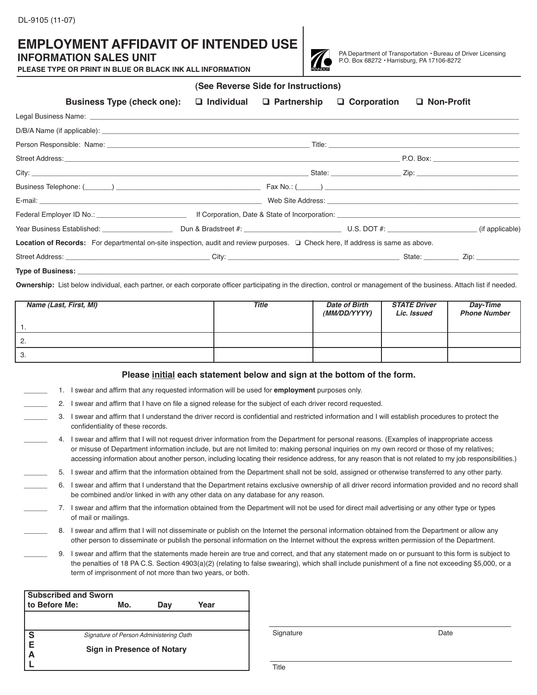## **EMPLOYMENT AFFIDAVIT OF INTENDED USE**

## **INFORMATION SALES UNIT**

**PLEASE TYPE OR PRINT IN BLUE OR BLACK INK ALL INFORMATION**



PA Department of Transportation • Bureau of Driver Licensing P.O. Box 68272 • Harrisburg, PA 17106-8272

|                                                                                                                                  | , טטטווטוואט וויטו וטו וווטגו מטטט   |               |                   |  |
|----------------------------------------------------------------------------------------------------------------------------------|--------------------------------------|---------------|-------------------|--|
| <b>Business Type (check one):</b>                                                                                                | $\Box$ Individual $\Box$ Partnership | □ Corporation | $\Box$ Non-Profit |  |
|                                                                                                                                  |                                      |               |                   |  |
|                                                                                                                                  |                                      |               |                   |  |
|                                                                                                                                  |                                      |               |                   |  |
|                                                                                                                                  |                                      |               |                   |  |
|                                                                                                                                  |                                      |               |                   |  |
|                                                                                                                                  |                                      |               |                   |  |
|                                                                                                                                  |                                      |               |                   |  |
| Federal Employer ID No.: ____________________________                                                                            |                                      |               |                   |  |
|                                                                                                                                  |                                      |               |                   |  |
| Location of Records: For departmental on-site inspection, audit and review purposes. In Check here, If address is same as above. |                                      |               |                   |  |
|                                                                                                                                  |                                      |               |                   |  |
|                                                                                                                                  |                                      |               |                   |  |

**(See Reverse Side for Instructions)**

**Type of Business:** 

**Ownership:** List below individual, each partner, or each corporate officer participating in the direction, control or management of the business. Attach list if needed.

| Name (Last, First, MI) | <b>Title</b> | <b>Date of Birth</b><br>(MM/DD/YYYY) | <b>STATE Driver</b><br>Lic. Issued | Day-Time<br><b>Phone Number</b> |
|------------------------|--------------|--------------------------------------|------------------------------------|---------------------------------|
|                        |              |                                      |                                    |                                 |
| -2.                    |              |                                      |                                    |                                 |
| - 3.                   |              |                                      |                                    |                                 |

## **Please initial each statement below and sign at the bottom of the form.**

- \_\_\_\_\_\_ 1. I swear and affirm that any requested information will be used for **employment** purposes only.
- 2. I swear and affirm that I have on file a signed release for the subject of each driver record requested.
- \_\_\_\_\_\_ 3. I swear and affirm that I understand the driver record is confidential and restricted information and I will establish procedures to protect the confidentiality of these records.
- 4. I swear and affirm that I will not request driver information from the Department for personal reasons. (Examples of inappropriate access or misuse of Department information include, but are not limited to: making personal inquiries on my own record or those of my relatives; accessing information about another person, including locating their residence address, for any reason that is not related to my job responsibilities.)
- \_\_\_\_\_\_ 5. I swear and affirm that the information obtained from the Department shall not be sold, assigned or otherwise transferred to any other party.
- \_\_\_\_\_\_ 6. I swear and affirm that I understand that the Department retains exclusive ownership of all driver record information provided and no record shall be combined and/or linked in with any other data on any database for any reason.
- 7. I swear and affirm that the information obtained from the Department will not be used for direct mail advertising or any other type or types of mail or mailings.
	- 8. I swear and affirm that I will not disseminate or publish on the Internet the personal information obtained from the Department or allow any other person to disseminate or publish the personal information on the Internet without the express written permission of the Department.
		- \_\_\_\_\_\_ 9. I swear and affirm that the statements made herein are true and correct, and that any statement made on or pursuant to this form is subject to the penalties of 18 PA C.S. Section 4903(a)(2) (relating to false swearing), which shall include punishment of a fine not exceeding \$5,000, or a term of imprisonment of not more than two years, or both.

| <b>Subscribed and Sworn</b> |                                        |     |      |  |  |  |  |
|-----------------------------|----------------------------------------|-----|------|--|--|--|--|
| to Before Me:               | Mo.                                    | Day | Year |  |  |  |  |
|                             |                                        |     |      |  |  |  |  |
|                             |                                        |     |      |  |  |  |  |
| S<br>E<br>A                 | Signature of Person Administering Oath |     |      |  |  |  |  |
| Sign in Presence of Notary  |                                        |     |      |  |  |  |  |
|                             |                                        |     |      |  |  |  |  |
|                             |                                        |     |      |  |  |  |  |

Signature Date

Title